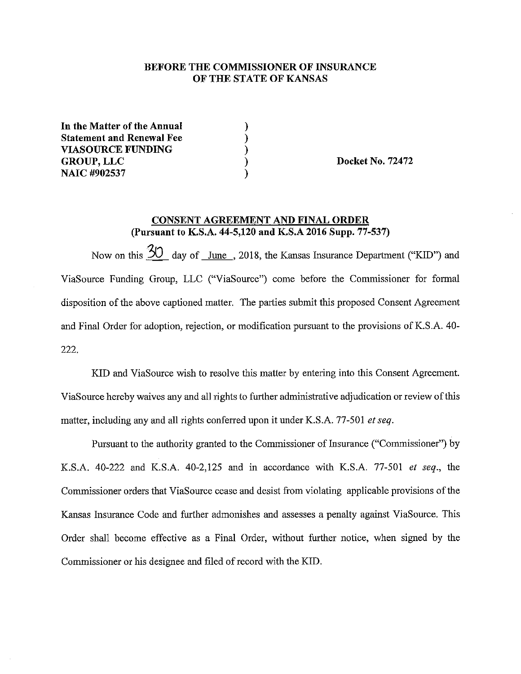## BEFORE THE COMMISSIONER OF INSURANCE OF THE STATE OF KANSAS

 $\left\{ \right\}$ 

In the Matter of the Annual **Statement and Renewal Fee VIASOURCE FUNDING GROUP, LLC** NAIC #902537

**Docket No. 72472** 

## CONSENT AGREEMENT AND FINAL ORDER (Pursuant to K.S.A. 44-5,120 and K.S.A 2016 Supp. 77-537)

Now on this 30 day of June, 2018, the Kansas Insurance Department ("KID") and ViaSource Funding Group, LLC ("ViaSource") come before the Commissioner for formal disposition of the above captioned matter. The parties submit this proposed Consent Agreement and Final Order for adoption, rejection, or modification pursuant to the provisions of K.S.A. 40-222.

KID and ViaSource wish to resolve this matter by entering into this Consent Agreement. ViaSource hereby waives any and all rights to further administrative adjudication or review of this matter, including any and all rights conferred upon it under K.S.A. 77-501 et seq.

Pursuant to the authority granted to the Commissioner of Insurance ("Commissioner") by K.S.A. 40-222 and K.S.A. 40-2,125 and in accordance with K.S.A. 77-501 et seq., the Commissioner orders that ViaSource cease and desist from violating applicable provisions of the Kansas Insurance Code and further admonishes and assesses a penalty against ViaSource. This Order shall become effective as a Final Order, without further notice, when signed by the Commissioner or his designee and filed of record with the KID.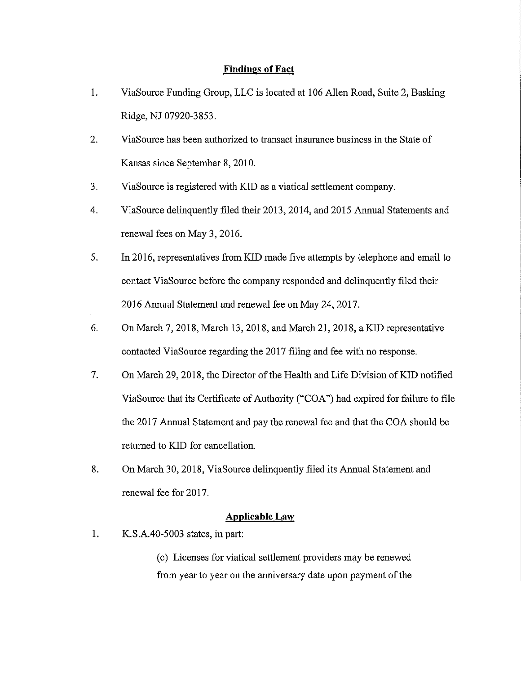#### **Findings of Fact**

- 1. ViaSource Funding Group, LLC is located at 106 Allen Road, Suite 2, Basking Ridge, NJ 07920-3853.
- 2. ViaSource has been authorized to transact insurance business in the State of Kansas since September 8, 2010.
- 3. ViaSource is registered with KID as a viatical settlement company.
- 4. ViaSource delinquently filed their 2013,2014, and 2015 Annual Statements and renewal fees on May 3, 2016.
- 5. In 2016, representatives from KID made five attempts by telephone and email to contact ViaSource before the company responded and delinquently filed their 2016 Annual Statement and renewal fee on May 24, 2017.
- 6. On March 7, 2018, March 13, 2018, and March 21, 2018, a KID representative contacted ViaSource regarding the 2017 filing and fee with no response.
- 7. On March 29,2018, the Director of the Health and Life Division of KID notified ViaSource that its Certificate of Authority ("CO A'') had expired for failure to file the 2017 Annual Statement and pay the renewal fee and that the COA should be returned to KID for cancellation.
- 8. On March 30, 2018, ViaSource delinquently filed its Annual Statement and renewal fee for 2017.

## **Applicable Law**

1. K.S.A.40-5003 states, in part:

(c) Licenses for viatica! settlement providers may be renewed from year to year on the anniversary date upon payment of the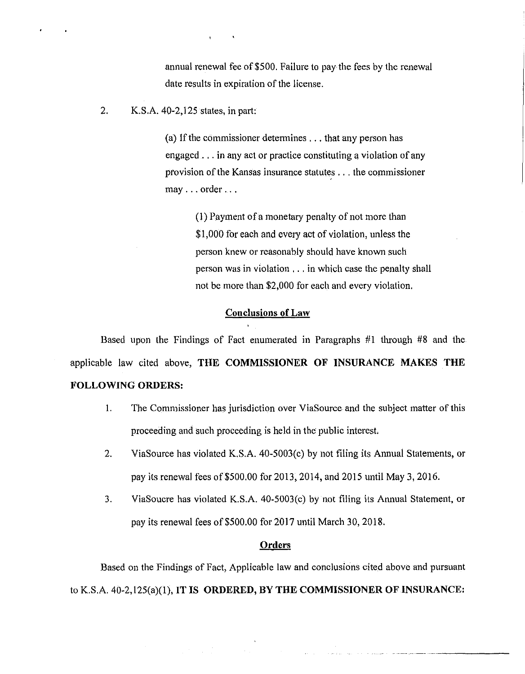annual renewal fee of \$500. Failure to pay the fees by the renewal date results in expiration of the license.

2. K.S.A. 40-2,125 states, in part:

 $\mathbf{t} = \mathbf{0} \in \mathbb{R}^{N}$ 

(a) If the commissioner determines  $\ldots$  that any person has engaged ... in any act or practice constituting a violation of any provision of the Kansas insurance statutes ... the commissioner may ... order ...

> (1) Payment of a monetary penalty of not more than \$1,000 for each and every act of violation, unless the person knew or reasonably should have known such person was in violation ... in which case the penalty shall not be more than \$2,000 for each and every violation.

#### **Conclusions of Law**

Based upon the Findings of Fact enumerated in Paragraphs #1 through #8 and the applicable law cited above, **THE COMMISSIONER OF INSURANCE MAKES THE FOLLOWING ORDERS:** 

- I. The Commissioner has jurisdiction over ViaSource and the subject matter of this proceeding and such proceeding is held in the public interest.
- 2. ViaSource has violated K.S.A. 40-5003(c) by not filing its Annual Statements, or pay its renewal fees of \$500,00 for 2013, 2014, and 2015 until May 3, 2016.
- 3. ViaSoucre has violated K.S.A. 40-5003(c) by not filing its Annual Statement, or pay its renewal fees of\$500.00 for 2017 until March 30,2018.

المستقلة المستقلة المستقلة المدينة التقاسية المدينة.<br>والمستقلة المستقلة المدينة المدينة المدينة المدينة المدينة المدينة المدينة المدينة المدينة المدينة المدينة الم

## **Orders**

Based on the Findings of Fact, Applicable law and conclusions cited above and pursuant to K.S.A. 40-2, 125(a)(l), **IT IS ORDERED, BY THE COMMISSIONER OF INSURANCE:**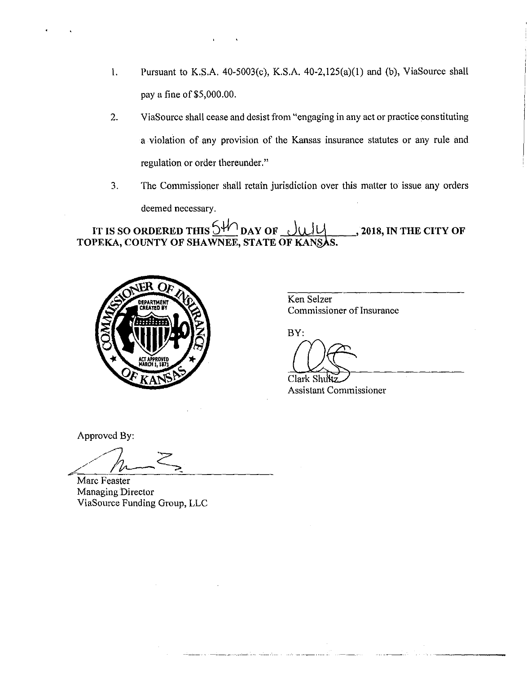- 1. Pursuant to K.S.A.  $40-5003(c)$ , K.S.A.  $40-2,125(a)(1)$  and (b), ViaSource shall pay a fine of \$5,000.00.
- 2. ViaSource shall cease and desist from "engaging in any act or practice constituting a violation of any provision of the Kansas insurance statutes or any rule and regulation or order thereunder."
- 3. The Commissioner shall retain jurisdiction over this matter to issue any orders deemed necessary.

**IT IS SO ORDERED THIS**  $\frac{54}{10}$  **DAY OF <u>ULIL</u><br>TOPEKA, COUNTY OF SHAWNEE, STATE OF KANS.** , **2018, IN THE CITY OF** 



Ken Selzer Commissioner of Insurance

BY:

Clark Shuktz<br>Assistant Commissioner

Approved By:

 $//h~&~$ 

Marc Feaster Managing Director ViaSource Funding Group, LLC